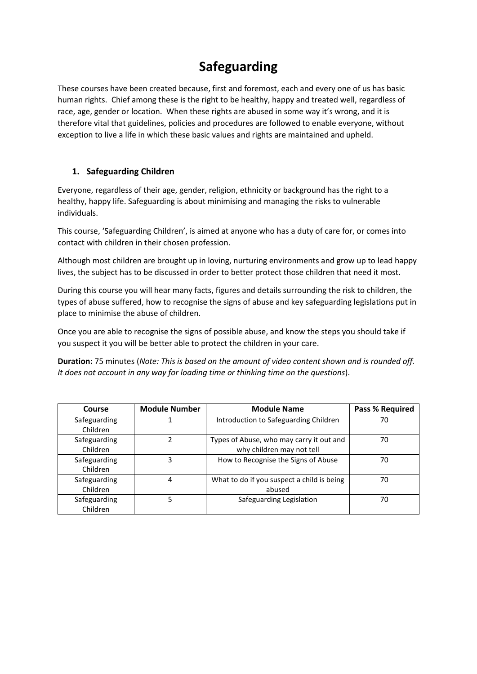## **Safeguarding**

These courses have been created because, first and foremost, each and every one of us has basic human rights. Chief among these is the right to be healthy, happy and treated well, regardless of race, age, gender or location. When these rights are abused in some way it's wrong, and it is therefore vital that guidelines, policies and procedures are followed to enable everyone, without exception to live a life in which these basic values and rights are maintained and upheld.

## **1. Safeguarding Children**

Everyone, regardless of their age, gender, religion, ethnicity or background has the right to a healthy, happy life. Safeguarding is about minimising and managing the risks to vulnerable individuals.

This course, 'Safeguarding Children', is aimed at anyone who has a duty of care for, or comes into contact with children in their chosen profession.

Although most children are brought up in loving, nurturing environments and grow up to lead happy lives, the subject has to be discussed in order to better protect those children that need it most.

During this course you will hear many facts, figures and details surrounding the risk to children, the types of abuse suffered, how to recognise the signs of abuse and key safeguarding legislations put in place to minimise the abuse of children.

Once you are able to recognise the signs of possible abuse, and know the steps you should take if you suspect it you will be better able to protect the children in your care.

**Duration:** 75 minutes (*Note: This is based on the amount of video content shown and is rounded off. It does not account in any way for loading time or thinking time on the questions*).

| Course                   | <b>Module Number</b> | <b>Module Name</b>                                                    | <b>Pass % Required</b> |
|--------------------------|----------------------|-----------------------------------------------------------------------|------------------------|
| Safeguarding<br>Children |                      | Introduction to Safeguarding Children                                 | 70                     |
| Safeguarding<br>Children | 2                    | Types of Abuse, who may carry it out and<br>why children may not tell | 70                     |
| Safeguarding<br>Children | 3                    | How to Recognise the Signs of Abuse                                   | 70                     |
| Safeguarding<br>Children | 4                    | What to do if you suspect a child is being<br>abused                  | 70                     |
| Safeguarding<br>Children |                      | Safeguarding Legislation                                              | 70                     |